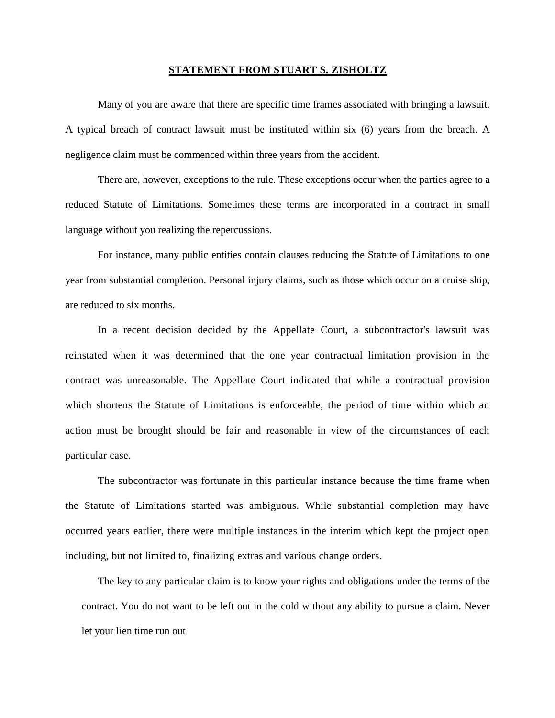## **STATEMENT FROM STUART S. ZISHOLTZ**

Many of you are aware that there are specific time frames associated with bringing a lawsuit. A typical breach of contract lawsuit must be instituted within six (6) years from the breach. A negligence claim must be commenced within three years from the accident.

There are, however, exceptions to the rule. These exceptions occur when the parties agree to a reduced Statute of Limitations. Sometimes these terms are incorporated in a contract in small language without you realizing the repercussions.

For instance, many public entities contain clauses reducing the Statute of Limitations to one year from substantial completion. Personal injury claims, such as those which occur on a cruise ship, are reduced to six months.

In a recent decision decided by the Appellate Court, a subcontractor's lawsuit was reinstated when it was determined that the one year contractual limitation provision in the contract was unreasonable. The Appellate Court indicated that while a contractual provision which shortens the Statute of Limitations is enforceable, the period of time within which an action must be brought should be fair and reasonable in view of the circumstances of each particular case.

The subcontractor was fortunate in this particular instance because the time frame when the Statute of Limitations started was ambiguous. While substantial completion may have occurred years earlier, there were multiple instances in the interim which kept the project open including, but not limited to, finalizing extras and various change orders.

The key to any particular claim is to know your rights and obligations under the terms of the contract. You do not want to be left out in the cold without any ability to pursue a claim. Never let your lien time run out